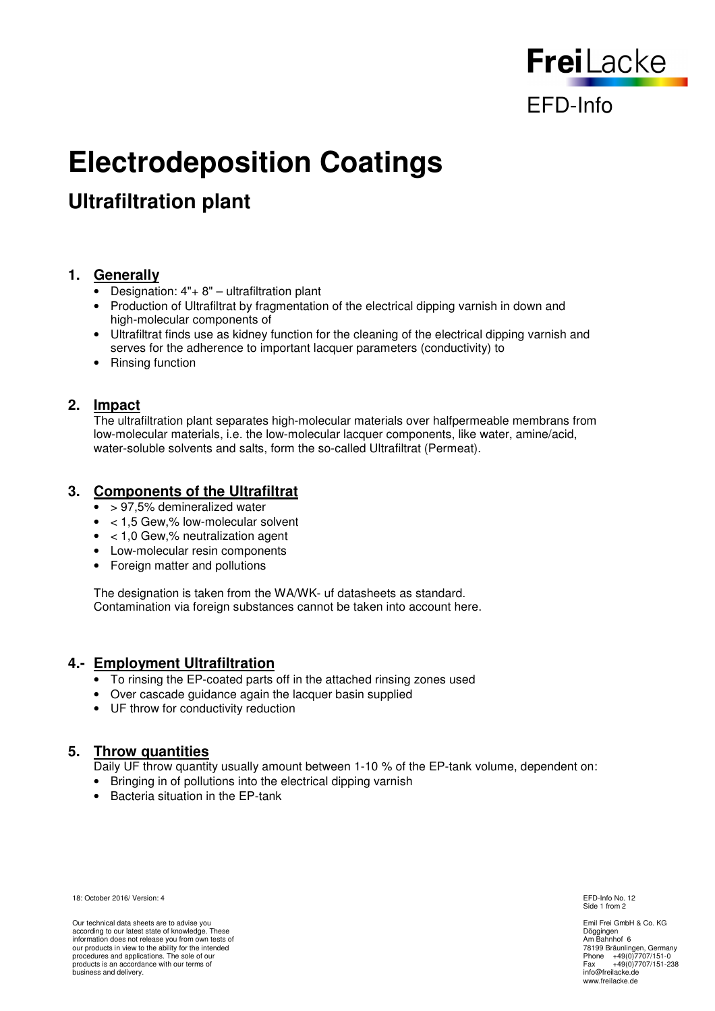

# **Electrodeposition Coatings**

# **Ultrafiltration plant**

# **1. Generally**

- Designation: 4"+ 8" ultrafiltration plant
- Production of Ultrafiltrat by fragmentation of the electrical dipping varnish in down and high-molecular components of
- Ultrafiltrat finds use as kidney function for the cleaning of the electrical dipping varnish and serves for the adherence to important lacquer parameters (conductivity) to
- Rinsing function

# **2. Impact**

 The ultrafiltration plant separates high-molecular materials over halfpermeable membrans from low-molecular materials, i.e. the low-molecular lacquer components, like water, amine/acid, water-soluble solvents and salts, form the so-called Ultrafiltrat (Permeat).

# **3. Components of the Ultrafiltrat**

- > 97.5% demineralized water
- < 1,5 Gew,% low-molecular solvent
- < 1,0 Gew,% neutralization agent
- Low-molecular resin components
- Foreign matter and pollutions

 The designation is taken from the WA/WK- uf datasheets as standard. Contamination via foreign substances cannot be taken into account here.

#### **4.- Employment Ultrafiltration**

- To rinsing the EP-coated parts off in the attached rinsing zones used
- Over cascade guidance again the lacquer basin supplied
- UF throw for conductivity reduction

# **5. Throw quantities**

Daily UF throw quantity usually amount between 1-10 % of the EP-tank volume, dependent on:

- Bringing in of pollutions into the electrical dipping varnish
- Bacteria situation in the EP-tank

18: October 2016/ Version: 4 EFD-Info No. 12

Our technical data sheets are to advise you according to our latest state of knowledge. These information does not release you from own tests of our products in view to the ability for the intended edures and applications. The sole of our products is an accordance with our terms of business and delivery.

Side 1 from 2

Emil Frei GmbH & Co. KG Döggingen Am Bahnhof 6 78199 Bräunlingen, Germany Phone +49(0)7707/151-0 Fax +49(0)7707/151-238 Fax  $+49(0)7$ <br>info@freilacke.de www.freilacke.de